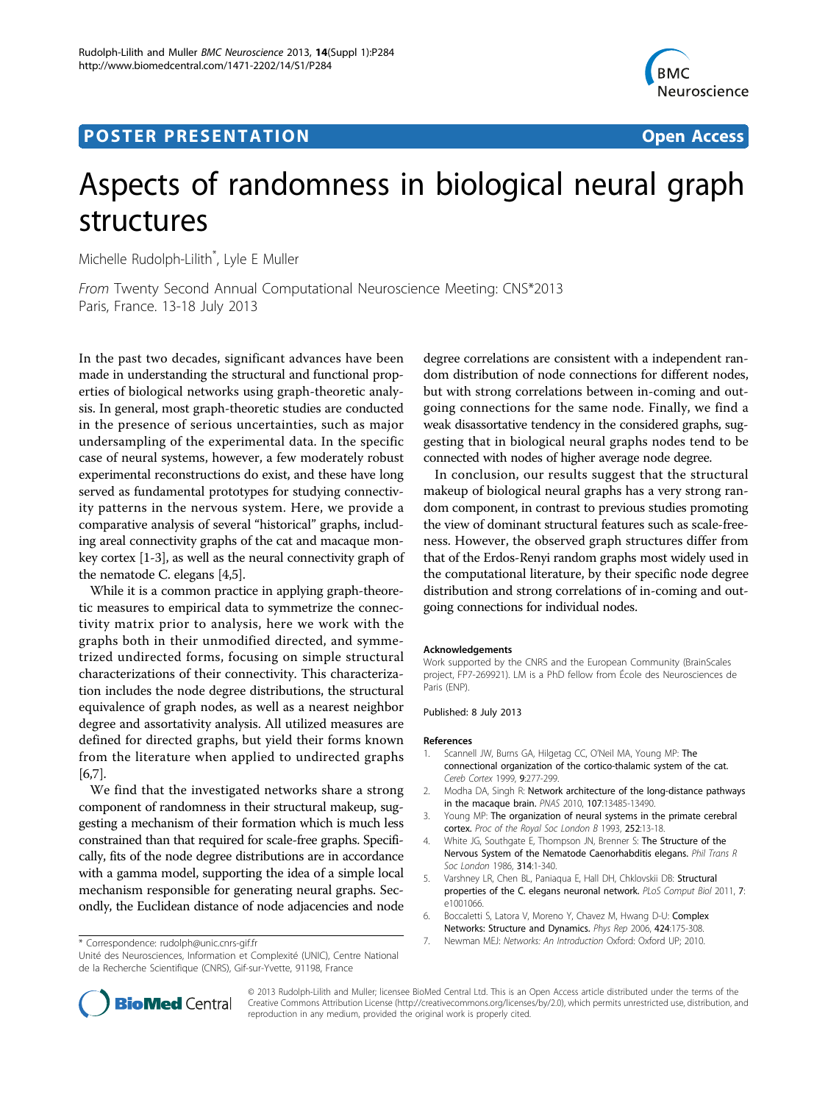## **POSTER PRESENTATION CONSUMING ACCESS**



# Aspects of randomness in biological neural graph structures

Michelle Rudolph-Lilith\* , Lyle E Muller

From Twenty Second Annual Computational Neuroscience Meeting: CNS\*2013 Paris, France. 13-18 July 2013

In the past two decades, significant advances have been made in understanding the structural and functional properties of biological networks using graph-theoretic analysis. In general, most graph-theoretic studies are conducted in the presence of serious uncertainties, such as major undersampling of the experimental data. In the specific case of neural systems, however, a few moderately robust experimental reconstructions do exist, and these have long served as fundamental prototypes for studying connectivity patterns in the nervous system. Here, we provide a comparative analysis of several "historical" graphs, including areal connectivity graphs of the cat and macaque monkey cortex [1-3], as well as the neural connectivity graph of the nematode C. elegans [4,5].

While it is a common practice in applying graph-theoretic measures to empirical data to symmetrize the connectivity matrix prior to analysis, here we work with the graphs both in their unmodified directed, and symmetrized undirected forms, focusing on simple structural characterizations of their connectivity. This characterization includes the node degree distributions, the structural equivalence of graph nodes, as well as a nearest neighbor degree and assortativity analysis. All utilized measures are defined for directed graphs, but yield their forms known from the literature when applied to undirected graphs [6,7].

We find that the investigated networks share a strong component of randomness in their structural makeup, suggesting a mechanism of their formation which is much less constrained than that required for scale-free graphs. Specifically, fits of the node degree distributions are in accordance with a gamma model, supporting the idea of a simple local mechanism responsible for generating neural graphs. Secondly, the Euclidean distance of node adjacencies and node

Unité des Neurosciences, Information et Complexité (UNIC), Centre National de la Recherche Scientifique (CNRS), Gif-sur-Yvette, 91198, France

degree correlations are consistent with a independent random distribution of node connections for different nodes, but with strong correlations between in-coming and outgoing connections for the same node. Finally, we find a weak disassortative tendency in the considered graphs, suggesting that in biological neural graphs nodes tend to be connected with nodes of higher average node degree.

In conclusion, our results suggest that the structural makeup of biological neural graphs has a very strong random component, in contrast to previous studies promoting the view of dominant structural features such as scale-freeness. However, the observed graph structures differ from that of the Erdos-Renyi random graphs most widely used in the computational literature, by their specific node degree distribution and strong correlations of in-coming and outgoing connections for individual nodes.

#### Acknowledgements

Work supported by the CNRS and the European Community (BrainScales project, FP7-269921). LM is a PhD fellow from École des Neurosciences de Paris (ENP).

#### Published: 8 July 2013

#### References

- 1. Scannell JW, Burns GA, Hilgetag CC, O'Neil MA, Young MP: [The](http://www.ncbi.nlm.nih.gov/pubmed/10355908?dopt=Abstract) [connectional organization of the cortico-thalamic system of the cat.](http://www.ncbi.nlm.nih.gov/pubmed/10355908?dopt=Abstract) Cereb Cortex 1999, 9:277-299.
- 2. Modha DA, Singh R: [Network architecture of the long-distance pathways](http://www.ncbi.nlm.nih.gov/pubmed/20628011?dopt=Abstract) [in the macaque brain.](http://www.ncbi.nlm.nih.gov/pubmed/20628011?dopt=Abstract) PNAS 2010, 107:13485-13490.
- 3. Young MP: The organization of neural systems in the primate cerebral cortex. Proc of the Royal Soc London B 1993, 252:13-18.
- 4. White JG, Southgate E, Thompson JN, Brenner S: The Structure of the Nervous System of the Nematode Caenorhabditis elegans. Phil Trans R Soc London 1986, 314:1-340.
- 5. Varshney LR, Chen BL, Paniaqua E, Hall DH, Chklovskii DB: [Structural](http://www.ncbi.nlm.nih.gov/pubmed/21304930?dopt=Abstract) [properties of the C. elegans neuronal network.](http://www.ncbi.nlm.nih.gov/pubmed/21304930?dopt=Abstract) PLoS Comput Biol 2011, 7: e1001066.
- 6. Boccaletti S, Latora V, Moreno Y, Chavez M, Hwang D-U: Complex Networks: Structure and Dynamics. Phys Rep 2006, 424:175-308.
- 7. Newman MEJ: Networks: An Introduction Oxford: Oxford UP; 2010. \* Correspondence: [rudolph@unic.cnrs-gif.fr](mailto:rudolph@unic.cnrs-gif.fr)



© 2013 Rudolph-Lilith and Muller; licensee BioMed Central Ltd. This is an Open Access article distributed under the terms of the Creative Commons Attribution License (<http://creativecommons.org/licenses/by/2.0>), which permits unrestricted use, distribution, and reproduction in any medium, provided the original work is properly cited.